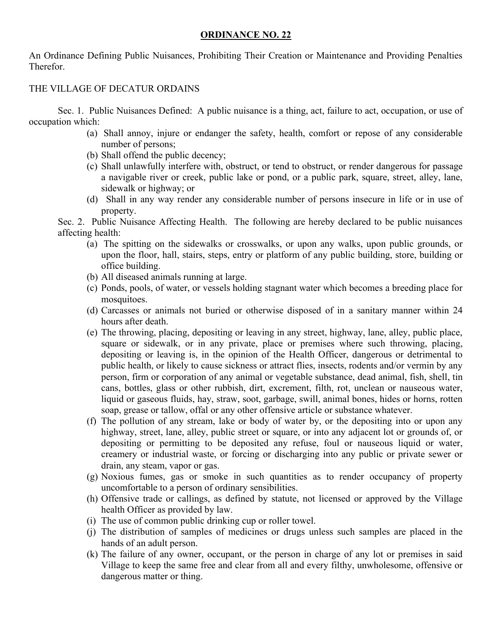## **ORDINANCE NO. 22**

An Ordinance Defining Public Nuisances, Prohibiting Their Creation or Maintenance and Providing Penalties Therefor.

## THE VILLAGE OF DECATUR ORDAINS

 Sec. 1. Public Nuisances Defined: A public nuisance is a thing, act, failure to act, occupation, or use of occupation which:

- (a) Shall annoy, injure or endanger the safety, health, comfort or repose of any considerable number of persons;
- (b) Shall offend the public decency;
- (c) Shall unlawfully interfere with, obstruct, or tend to obstruct, or render dangerous for passage a navigable river or creek, public lake or pond, or a public park, square, street, alley, lane, sidewalk or highway; or
- (d) Shall in any way render any considerable number of persons insecure in life or in use of property.

Sec. 2. Public Nuisance Affecting Health. The following are hereby declared to be public nuisances affecting health:

- (a) The spitting on the sidewalks or crosswalks, or upon any walks, upon public grounds, or upon the floor, hall, stairs, steps, entry or platform of any public building, store, building or office building.
- (b) All diseased animals running at large.
- (c) Ponds, pools, of water, or vessels holding stagnant water which becomes a breeding place for mosquitoes.
- (d) Carcasses or animals not buried or otherwise disposed of in a sanitary manner within 24 hours after death.
- (e) The throwing, placing, depositing or leaving in any street, highway, lane, alley, public place, square or sidewalk, or in any private, place or premises where such throwing, placing, depositing or leaving is, in the opinion of the Health Officer, dangerous or detrimental to public health, or likely to cause sickness or attract flies, insects, rodents and/or vermin by any person, firm or corporation of any animal or vegetable substance, dead animal, fish, shell, tin cans, bottles, glass or other rubbish, dirt, excrement, filth, rot, unclean or nauseous water, liquid or gaseous fluids, hay, straw, soot, garbage, swill, animal bones, hides or horns, rotten soap, grease or tallow, offal or any other offensive article or substance whatever.
- (f) The pollution of any stream, lake or body of water by, or the depositing into or upon any highway, street, lane, alley, public street or square, or into any adjacent lot or grounds of, or depositing or permitting to be deposited any refuse, foul or nauseous liquid or water, creamery or industrial waste, or forcing or discharging into any public or private sewer or drain, any steam, vapor or gas.
- (g) Noxious fumes, gas or smoke in such quantities as to render occupancy of property uncomfortable to a person of ordinary sensibilities.
- (h) Offensive trade or callings, as defined by statute, not licensed or approved by the Village health Officer as provided by law.
- (i) The use of common public drinking cup or roller towel.
- (j) The distribution of samples of medicines or drugs unless such samples are placed in the hands of an adult person.
- (k) The failure of any owner, occupant, or the person in charge of any lot or premises in said Village to keep the same free and clear from all and every filthy, unwholesome, offensive or dangerous matter or thing.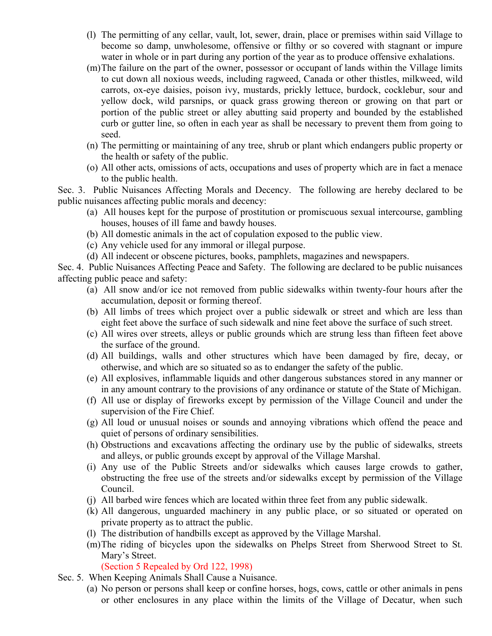- (l) The permitting of any cellar, vault, lot, sewer, drain, place or premises within said Village to become so damp, unwholesome, offensive or filthy or so covered with stagnant or impure water in whole or in part during any portion of the year as to produce offensive exhalations.
- (m)The failure on the part of the owner, possessor or occupant of lands within the Village limits to cut down all noxious weeds, including ragweed, Canada or other thistles, milkweed, wild carrots, ox-eye daisies, poison ivy, mustards, prickly lettuce, burdock, cocklebur, sour and yellow dock, wild parsnips, or quack grass growing thereon or growing on that part or portion of the public street or alley abutting said property and bounded by the established curb or gutter line, so often in each year as shall be necessary to prevent them from going to seed.
- (n) The permitting or maintaining of any tree, shrub or plant which endangers public property or the health or safety of the public.
- (o) All other acts, omissions of acts, occupations and uses of property which are in fact a menace to the public health.

Sec. 3. Public Nuisances Affecting Morals and Decency. The following are hereby declared to be public nuisances affecting public morals and decency:

- (a) All houses kept for the purpose of prostitution or promiscuous sexual intercourse, gambling houses, houses of ill fame and bawdy houses.
- (b) All domestic animals in the act of copulation exposed to the public view.
- (c) Any vehicle used for any immoral or illegal purpose.
- (d) All indecent or obscene pictures, books, pamphlets, magazines and newspapers.

Sec. 4. Public Nuisances Affecting Peace and Safety. The following are declared to be public nuisances affecting public peace and safety:

- (a) All snow and/or ice not removed from public sidewalks within twenty-four hours after the accumulation, deposit or forming thereof.
- (b) All limbs of trees which project over a public sidewalk or street and which are less than eight feet above the surface of such sidewalk and nine feet above the surface of such street.
- (c) All wires over streets, alleys or public grounds which are strung less than fifteen feet above the surface of the ground.
- (d) All buildings, walls and other structures which have been damaged by fire, decay, or otherwise, and which are so situated so as to endanger the safety of the public.
- (e) All explosives, inflammable liquids and other dangerous substances stored in any manner or in any amount contrary to the provisions of any ordinance or statute of the State of Michigan.
- (f) All use or display of fireworks except by permission of the Village Council and under the supervision of the Fire Chief.
- (g) All loud or unusual noises or sounds and annoying vibrations which offend the peace and quiet of persons of ordinary sensibilities.
- (h) Obstructions and excavations affecting the ordinary use by the public of sidewalks, streets and alleys, or public grounds except by approval of the Village Marshal.
- (i) Any use of the Public Streets and/or sidewalks which causes large crowds to gather, obstructing the free use of the streets and/or sidewalks except by permission of the Village Council.
- (j) All barbed wire fences which are located within three feet from any public sidewalk.
- (k) All dangerous, unguarded machinery in any public place, or so situated or operated on private property as to attract the public.
- (l) The distribution of handbills except as approved by the Village Marshal.
- (m)The riding of bicycles upon the sidewalks on Phelps Street from Sherwood Street to St. Mary's Street.

(Section 5 Repealed by Ord 122, 1998)

- Sec. 5. When Keeping Animals Shall Cause a Nuisance.
	- (a) No person or persons shall keep or confine horses, hogs, cows, cattle or other animals in pens or other enclosures in any place within the limits of the Village of Decatur, when such